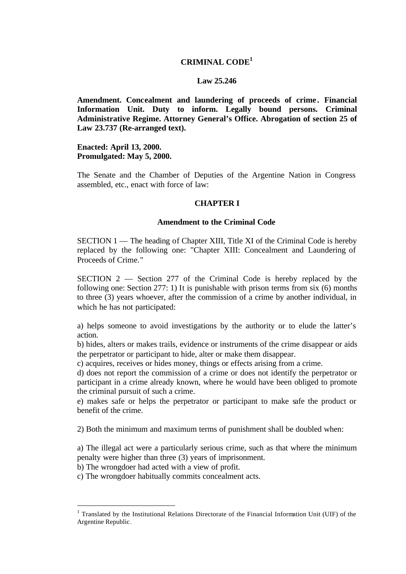## **CRIMINAL CODE<sup>1</sup>**

#### **Law 25.246**

**Amendment. Concealment and laundering of proceeds of crime . Financial Information Unit. Duty to inform. Legally bound persons. Criminal Administrative Regime. Attorney General's Office. Abrogation of section 25 of Law 23.737 (Re-arranged text).**

**Enacted: April 13, 2000. Promulgated: May 5, 2000.**

The Senate and the Chamber of Deputies of the Argentine Nation in Congress assembled, etc., enact with force of law:

### **CHAPTER I**

### **Amendment to the Criminal Code**

SECTION 1 — The heading of Chapter XIII, Title XI of the Criminal Code is hereby replaced by the following one: "Chapter XIII: Concealment and Laundering of Proceeds of Crime."

SECTION 2 — Section 277 of the Criminal Code is hereby replaced by the following one: Section 277: 1) It is punishable with prison terms from six (6) months to three (3) years whoever, after the commission of a crime by another individual, in which he has not participated:

a) helps someone to avoid investigations by the authority or to elude the latter's action.

b) hides, alters or makes trails, evidence or instruments of the crime disappear or aids the perpetrator or participant to hide, alter or make them disappear.

c) acquires, receives or hides money, things or effects arising from a crime.

d) does not report the commission of a crime or does not identify the perpetrator or participant in a crime already known, where he would have been obliged to promote the criminal pursuit of such a crime.

e) makes safe or helps the perpetrator or participant to make safe the product or benefit of the crime.

2) Both the minimum and maximum terms of punishment shall be doubled when:

a) The illegal act were a particularly serious crime, such as that where the minimum penalty were higher than three (3) years of imprisonment.

b) The wrongdoer had acted with a view of profit.

l

c) The wrongdoer habitually commits concealment acts.

<sup>&</sup>lt;sup>1</sup> Translated by the Institutional Relations Directorate of the Financial Information Unit (UIF) of the Argentine Republic.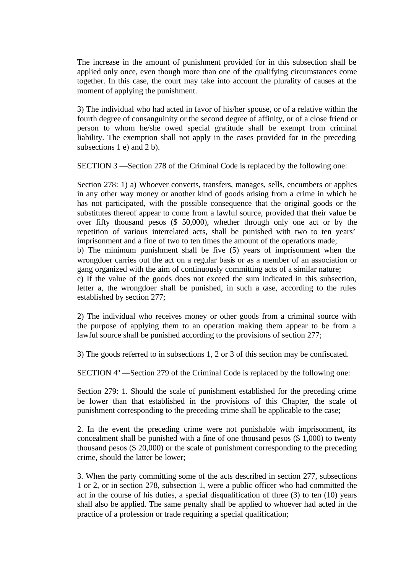The increase in the amount of punishment provided for in this subsection shall be applied only once, even though more than one of the qualifying circumstances come together. In this case, the court may take into account the plurality of causes at the moment of applying the punishment.

3) The individual who had acted in favor of his/her spouse, or of a relative within the fourth degree of consanguinity or the second degree of affinity, or of a close friend or person to whom he/she owed special gratitude shall be exempt from criminal liability. The exemption shall not apply in the cases provided for in the preceding subsections 1 e) and 2 b).

SECTION 3 —Section 278 of the Criminal Code is replaced by the following one:

Section 278: 1) a) Whoever converts, transfers, manages, sells, encumbers or applies in any other way money or another kind of goods arising from a crime in which he has not participated, with the possible consequence that the original goods or the substitutes thereof appear to come from a lawful source, provided that their value be over fifty thousand pesos (\$ 50,000), whether through only one act or by the repetition of various interrelated acts, shall be punished with two to ten years' imprisonment and a fine of two to ten times the amount of the operations made; b) The minimum punishment shall be five (5) years of imprisonment when the wrongdoer carries out the act on a regular basis or as a member of an association or gang organized with the aim of continuously committing acts of a similar nature; c) If the value of the goods does not exceed the sum indicated in this subsection, letter a, the wrongdoer shall be punished, in such a case, according to the rules established by section 277;

2) The individual who receives money or other goods from a criminal source with the purpose of applying them to an operation making them appear to be from a lawful source shall be punished according to the provisions of section 277;

3) The goods referred to in subsections 1, 2 or 3 of this section may be confiscated.

SECTION 4º —Section 279 of the Criminal Code is replaced by the following one:

Section 279: 1. Should the scale of punishment established for the preceding crime be lower than that established in the provisions of this Chapter, the scale of punishment corresponding to the preceding crime shall be applicable to the case;

2. In the event the preceding crime were not punishable with imprisonment, its concealment shall be punished with a fine of one thousand pesos (\$ 1,000) to twenty thousand pesos (\$ 20,000) or the scale of punishment corresponding to the preceding crime, should the latter be lower;

3. When the party committing some of the acts described in section 277, subsections 1 or 2, or in section 278, subsection 1, were a public officer who had committed the act in the course of his duties, a special disqualification of three (3) to ten (10) years shall also be applied. The same penalty shall be applied to whoever had acted in the practice of a profession or trade requiring a special qualification;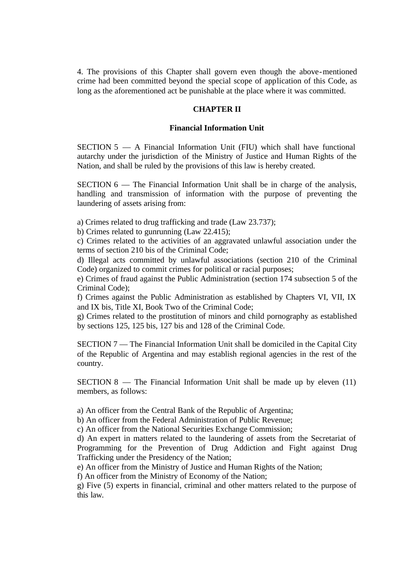4. The provisions of this Chapter shall govern even though the above-mentioned crime had been committed beyond the special scope of application of this Code, as long as the aforementioned act be punishable at the place where it was committed.

# **CHAPTER II**

#### **Financial Information Unit**

SECTION 5 — A Financial Information Unit (FIU) which shall have functional autarchy under the jurisdiction of the Ministry of Justice and Human Rights of the Nation, and shall be ruled by the provisions of this law is hereby created.

SECTION 6 — The Financial Information Unit shall be in charge of the analysis, handling and transmission of information with the purpose of preventing the laundering of assets arising from:

a) Crimes related to drug trafficking and trade (Law 23.737);

b) Crimes related to gunrunning (Law 22.415);

c) Crimes related to the activities of an aggravated unlawful association under the terms of section 210 bis of the Criminal Code;

d) Illegal acts committed by unlawful associations (section 210 of the Criminal Code) organized to commit crimes for political or racial purposes;

e) Crimes of fraud against the Public Administration (section 174 subsection 5 of the Criminal Code);

f) Crimes against the Public Administration as established by Chapters VI, VII, IX and IX bis, Title XI, Book Two of the Criminal Code;

g) Crimes related to the prostitution of minors and child pornography as established by sections 125, 125 bis, 127 bis and 128 of the Criminal Code.

SECTION 7 — The Financial Information Unit shall be domiciled in the Capital City of the Republic of Argentina and may establish regional agencies in the rest of the country.

 $SECTION 8$  — The Financial Information Unit shall be made up by eleven  $(11)$ members, as follows:

a) An officer from the Central Bank of the Republic of Argentina;

b) An officer from the Federal Administration of Public Revenue;

c) An officer from the National Securities Exchange Commission;

d) An expert in matters related to the laundering of assets from the Secretariat of Programming for the Prevention of Drug Addiction and Fight against Drug Trafficking under the Presidency of the Nation;

e) An officer from the Ministry of Justice and Human Rights of the Nation;

f) An officer from the Ministry of Economy of the Nation;

g) Five (5) experts in financial, criminal and other matters related to the purpose of this law.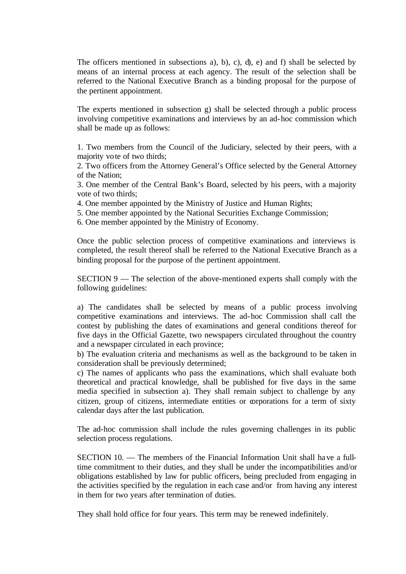The officers mentioned in subsections a), b), c), d), e) and f) shall be selected by means of an internal process at each agency. The result of the selection shall be referred to the National Executive Branch as a binding proposal for the purpose of the pertinent appointment.

The experts mentioned in subsection g) shall be selected through a public process involving competitive examinations and interviews by an ad-hoc commission which shall be made up as follows:

1. Two members from the Council of the Judiciary, selected by their peers, with a majority vote of two thirds;

2. Two officers from the Attorney General's Office selected by the General Attorney of the Nation;

3. One member of the Central Bank's Board, selected by his peers, with a majority vote of two thirds;

4. One member appointed by the Ministry of Justice and Human Rights;

5. One member appointed by the National Securities Exchange Commission;

6. One member appointed by the Ministry of Economy.

Once the public selection process of competitive examinations and interviews is completed, the result thereof shall be referred to the National Executive Branch as a binding proposal for the purpose of the pertinent appointment.

SECTION 9 — The selection of the above-mentioned experts shall comply with the following guidelines:

a) The candidates shall be selected by means of a public process involving competitive examinations and interviews. The ad-hoc Commission shall call the contest by publishing the dates of examinations and general conditions thereof for five days in the Official Gazette, two newspapers circulated throughout the country and a newspaper circulated in each province;

b) The evaluation criteria and mechanisms as well as the background to be taken in consideration shall be previously determined;

c) The names of applicants who pass the examinations, which shall evaluate both theoretical and practical knowledge, shall be published for five days in the same media specified in subsection a). They shall remain subject to challenge by any citizen, group of citizens, intermediate entities or corporations for a term of sixty calendar days after the last publication.

The ad-hoc commission shall include the rules governing challenges in its public selection process regulations.

SECTION 10. — The members of the Financial Information Unit shall have a fulltime commitment to their duties, and they shall be under the incompatibilities and/or obligations established by law for public officers, being precluded from engaging in the activities specified by the regulation in each case and/or from having any interest in them for two years after termination of duties.

They shall hold office for four years. This term may be renewed indefinitely.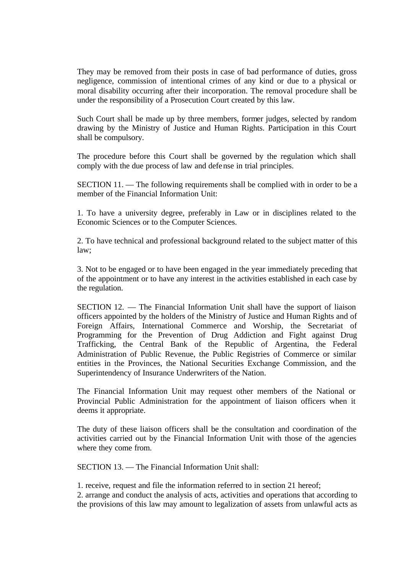They may be removed from their posts in case of bad performance of duties, gross negligence, commission of intentional crimes of any kind or due to a physical or moral disability occurring after their incorporation. The removal procedure shall be under the responsibility of a Prosecution Court created by this law.

Such Court shall be made up by three members, former judges, selected by random drawing by the Ministry of Justice and Human Rights. Participation in this Court shall be compulsory.

The procedure before this Court shall be governed by the regulation which shall comply with the due process of law and defense in trial principles.

SECTION 11. — The following requirements shall be complied with in order to be a member of the Financial Information Unit:

1. To have a university degree, preferably in Law or in disciplines related to the Economic Sciences or to the Computer Sciences.

2. To have technical and professional background related to the subject matter of this law;

3. Not to be engaged or to have been engaged in the year immediately preceding that of the appointment or to have any interest in the activities established in each case by the regulation.

SECTION 12. — The Financial Information Unit shall have the support of liaison officers appointed by the holders of the Ministry of Justice and Human Rights and of Foreign Affairs, International Commerce and Worship, the Secretariat of Programming for the Prevention of Drug Addiction and Fight against Drug Trafficking, the Central Bank of the Republic of Argentina, the Federal Administration of Public Revenue, the Public Registries of Commerce or similar entities in the Provinces, the National Securities Exchange Commission, and the Superintendency of Insurance Underwriters of the Nation.

The Financial Information Unit may request other members of the National or Provincial Public Administration for the appointment of liaison officers when it deems it appropriate.

The duty of these liaison officers shall be the consultation and coordination of the activities carried out by the Financial Information Unit with those of the agencies where they come from.

SECTION 13. — The Financial Information Unit shall:

1. receive, request and file the information referred to in section 21 hereof;

2. arrange and conduct the analysis of acts, activities and operations that according to the provisions of this law may amount to legalization of assets from unlawful acts as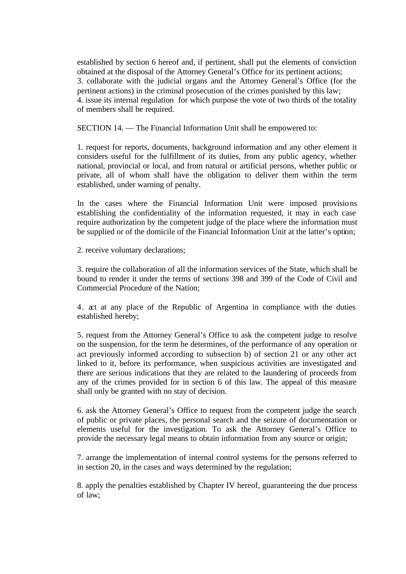established by section 6 hereof and, if pertinent, shall put the elements of conviction obtained at the disposal of the Attorney General's Office for its pertinent actions; 3. collaborate with the judicial organs and the Attorney General's Office (for the pertinent actions) in the criminal prosecution of the crimes punished by this law; 4. issue its internal regulation for which purpose the vote of two thirds of the totality of members shall be required.

SECTION 14. — The Financial Information Unit shall be empowered to:

1. request for reports, documents, background information and any other element it considers useful for the fulfillment of its duties, from any public agency, whether national, provincial or local, and from natural or artificial persons, whether public or private, all of whom shall have the obligation to deliver them within the term established, under warning of penalty.

In the cases where the Financial Information Unit were imposed provisions establishing the confidentiality of the information requested, it may in each case require authorization by the competent judge of the place where the information must be supplied or of the domicile of the Financial Information Unit at the latter's option;

2. receive voluntary declarations;

3. require the collaboration of all the information services of the State, which shall be bound to render it under the terms of sections 398 and 399 of the Code of Civil and Commercial Procedure of the Nation;

4. act at any place of the Republic of Argentina in compliance with the duties established hereby;

5. request from the Attorney General's Office to ask the competent judge to resolve on the suspension, for the term he determines, of the performance of any operation or act previously informed according to subsection b) of section 21 or any other act linked to it, before its performance, when suspicious activities are investigated and there are serious indications that they are related to the laundering of proceeds from any of the crimes provided for in section 6 of this law. The appeal of this measure shall only be granted with no stay of decision.

6. ask the Attorney General's Office to request from the competent judge the search of public or private places, the personal search and the seizure of documentation or elements useful for the investigation. To ask the Attorney General's Office to provide the necessary legal means to obtain information from any source or origin;

7. arrange the implementation of internal control systems for the persons referred to in section 20, in the cases and ways determined by the regulation;

8. apply the penalties established by Chapter IV hereof, guaranteeing the due process of law;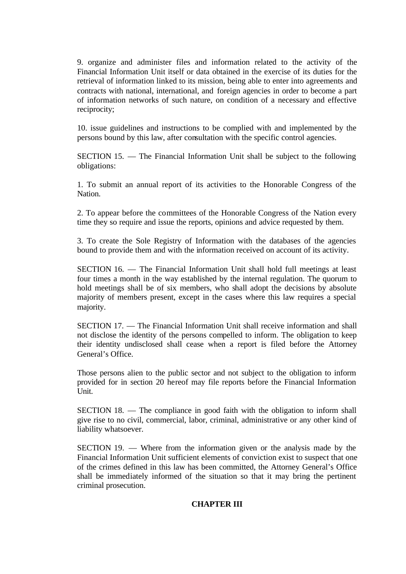9. organize and administer files and information related to the activity of the Financial Information Unit itself or data obtained in the exercise of its duties for the retrieval of information linked to its mission, being able to enter into agreements and contracts with national, international, and foreign agencies in order to become a part of information networks of such nature, on condition of a necessary and effective reciprocity;

10. issue guidelines and instructions to be complied with and implemented by the persons bound by this law, after consultation with the specific control agencies.

SECTION 15. — The Financial Information Unit shall be subject to the following obligations:

1. To submit an annual report of its activities to the Honorable Congress of the Nation.

2. To appear before the committees of the Honorable Congress of the Nation every time they so require and issue the reports, opinions and advice requested by them.

3. To create the Sole Registry of Information with the databases of the agencies bound to provide them and with the information received on account of its activity.

SECTION 16. — The Financial Information Unit shall hold full meetings at least four times a month in the way established by the internal regulation. The quorum to hold meetings shall be of six members, who shall adopt the decisions by absolute majority of members present, except in the cases where this law requires a special majority.

SECTION 17. — The Financial Information Unit shall receive information and shall not disclose the identity of the persons compelled to inform. The obligation to keep their identity undisclosed shall cease when a report is filed before the Attorney General's Office.

Those persons alien to the public sector and not subject to the obligation to inform provided for in section 20 hereof may file reports before the Financial Information Unit.

SECTION 18. — The compliance in good faith with the obligation to inform shall give rise to no civil, commercial, labor, criminal, administrative or any other kind of liability whatsoever.

SECTION 19. — Where from the information given or the analysis made by the Financial Information Unit sufficient elements of conviction exist to suspect that one of the crimes defined in this law has been committed, the Attorney General's Office shall be immediately informed of the situation so that it may bring the pertinent criminal prosecution.

# **CHAPTER III**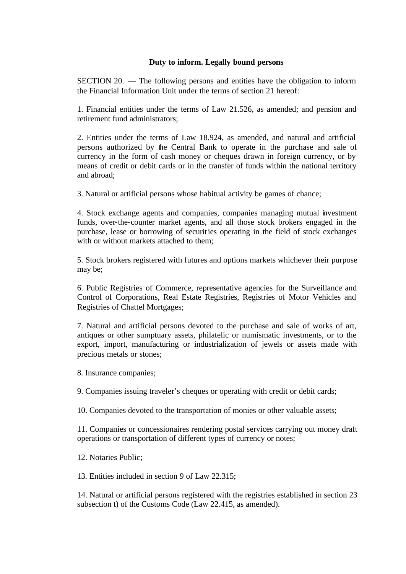# **Duty to inform. Legally bound persons**

SECTION 20. — The following persons and entities have the obligation to inform the Financial Information Unit under the terms of section 21 hereof:

1. Financial entities under the terms of Law 21.526, as amended; and pension and retirement fund administrators;

2. Entities under the terms of Law 18.924, as amended, and natural and artificial persons authorized by the Central Bank to operate in the purchase and sale of currency in the form of cash money or cheques drawn in foreign currency, or by means of credit or debit cards or in the transfer of funds within the national territory and abroad;

3. Natural or artificial persons whose habitual activity be games of chance;

4. Stock exchange agents and companies, companies managing mutual investment funds, over-the-counter market agents, and all those stock brokers engaged in the purchase, lease or borrowing of securities operating in the field of stock exchanges with or without markets attached to them:

5. Stock brokers registered with futures and options markets whichever their purpose may be;

6. Public Registries of Commerce, representative agencies for the Surveillance and Control of Corporations, Real Estate Registries, Registries of Motor Vehicles and Registries of Chattel Mortgages;

7. Natural and artificial persons devoted to the purchase and sale of works of art, antiques or other sumptuary assets, philatelic or numismatic investments, or to the export, import, manufacturing or industrialization of jewels or assets made with precious metals or stones;

8. Insurance companies;

9. Companies issuing traveler's cheques or operating with credit or debit cards;

10. Companies devoted to the transportation of monies or other valuable assets;

11. Companies or concessionaires rendering postal services carrying out money draft operations or transportation of different types of currency or notes;

12. Notaries Public;

13. Entities included in section 9 of Law 22.315;

14. Natural or artificial persons registered with the registries established in section 23 subsection t) of the Customs Code (Law 22.415, as amended).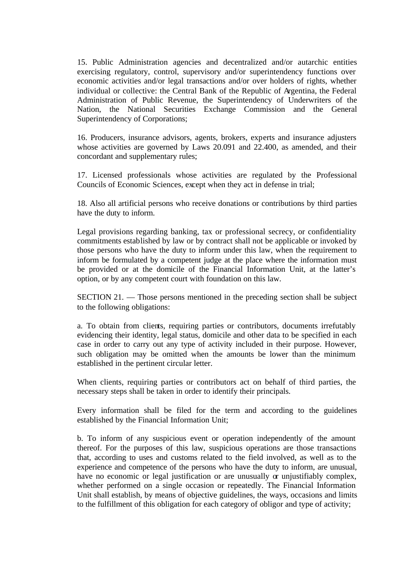15. Public Administration agencies and decentralized and/or autarchic entities exercising regulatory, control, supervisory and/or superintendency functions over economic activities and/or legal transactions and/or over holders of rights, whether individual or collective: the Central Bank of the Republic of Argentina, the Federal Administration of Public Revenue, the Superintendency of Underwriters of the Nation, the National Securities Exchange Commission and the General Superintendency of Corporations;

16. Producers, insurance advisors, agents, brokers, experts and insurance adjusters whose activities are governed by Laws 20.091 and 22.400, as amended, and their concordant and supplementary rules;

17. Licensed professionals whose activities are regulated by the Professional Councils of Economic Sciences, except when they act in defense in trial;

18. Also all artificial persons who receive donations or contributions by third parties have the duty to inform.

Legal provisions regarding banking, tax or professional secrecy, or confidentiality commitments established by law or by contract shall not be applicable or invoked by those persons who have the duty to inform under this law, when the requirement to inform be formulated by a competent judge at the place where the information must be provided or at the domicile of the Financial Information Unit, at the latter's option, or by any competent court with foundation on this law.

SECTION 21. — Those persons mentioned in the preceding section shall be subject to the following obligations:

a. To obtain from clients, requiring parties or contributors, documents irrefutably evidencing their identity, legal status, domicile and other data to be specified in each case in order to carry out any type of activity included in their purpose. However, such obligation may be omitted when the amounts be lower than the minimum established in the pertinent circular letter.

When clients, requiring parties or contributors act on behalf of third parties, the necessary steps shall be taken in order to identify their principals.

Every information shall be filed for the term and according to the guidelines established by the Financial Information Unit;

b. To inform of any suspicious event or operation independently of the amount thereof. For the purposes of this law, suspicious operations are those transactions that, according to uses and customs related to the field involved, as well as to the experience and competence of the persons who have the duty to inform, are unusual, have no economic or legal justification or are unusually or unjustifiably complex, whether performed on a single occasion or repeatedly. The Financial Information Unit shall establish, by means of objective guidelines, the ways, occasions and limits to the fulfillment of this obligation for each category of obligor and type of activity;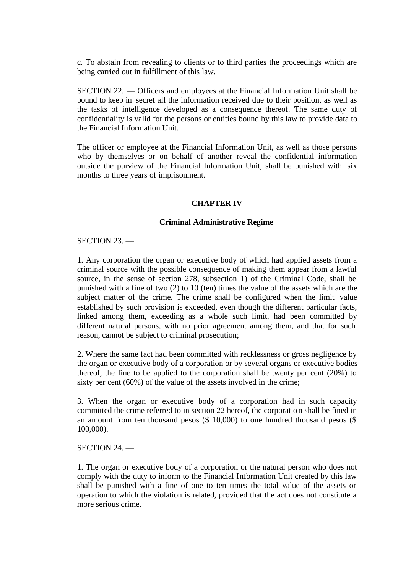c. To abstain from revealing to clients or to third parties the proceedings which are being carried out in fulfillment of this law.

SECTION 22. — Officers and employees at the Financial Information Unit shall be bound to keep in secret all the information received due to their position, as well as the tasks of intelligence developed as a consequence thereof. The same duty of confidentiality is valid for the persons or entities bound by this law to provide data to the Financial Information Unit.

The officer or employee at the Financial Information Unit, as well as those persons who by themselves or on behalf of another reveal the confidential information outside the purview of the Financial Information Unit, shall be punished with six months to three years of imprisonment.

## **CHAPTER IV**

## **Criminal Administrative Regime**

### SECTION 23. —

1. Any corporation the organ or executive body of which had applied assets from a criminal source with the possible consequence of making them appear from a lawful source, in the sense of section 278, subsection 1) of the Criminal Code, shall be punished with a fine of two (2) to 10 (ten) times the value of the assets which are the subject matter of the crime. The crime shall be configured when the limit value established by such provision is exceeded, even though the different particular facts, linked among them, exceeding as a whole such limit, had been committed by different natural persons, with no prior agreement among them, and that for such reason, cannot be subject to criminal prosecution;

2. Where the same fact had been committed with recklessness or gross negligence by the organ or executive body of a corporation or by several organs or executive bodies thereof, the fine to be applied to the corporation shall be twenty per cent (20%) to sixty per cent (60%) of the value of the assets involved in the crime;

3. When the organ or executive body of a corporation had in such capacity committed the crime referred to in section 22 hereof, the corporation shall be fined in an amount from ten thousand pesos (\$ 10,000) to one hundred thousand pesos (\$ 100,000).

### SECTION 24. —

1. The organ or executive body of a corporation or the natural person who does not comply with the duty to inform to the Financial Information Unit created by this law shall be punished with a fine of one to ten times the total value of the assets or operation to which the violation is related, provided that the act does not constitute a more serious crime.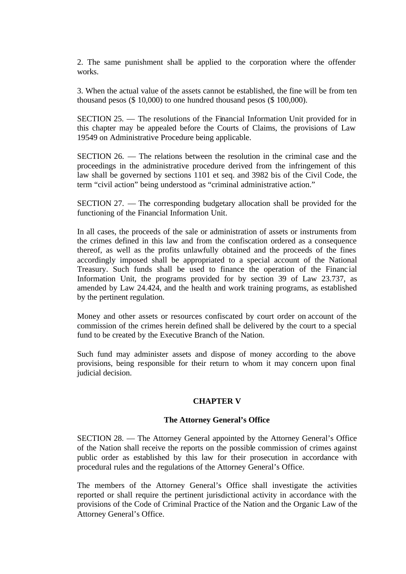2. The same punishment shall be applied to the corporation where the offender works.

3. When the actual value of the assets cannot be established, the fine will be from ten thousand pesos (\$ 10,000) to one hundred thousand pesos (\$ 100,000).

SECTION 25. — The resolutions of the Financial Information Unit provided for in this chapter may be appealed before the Courts of Claims, the provisions of Law 19549 on Administrative Procedure being applicable.

SECTION 26. — The relations between the resolution in the criminal case and the proceedings in the administrative procedure derived from the infringement of this law shall be governed by sections 1101 et seq. and 3982 bis of the Civil Code, the term "civil action" being understood as "criminal administrative action."

SECTION 27. — The corresponding budgetary allocation shall be provided for the functioning of the Financial Information Unit.

In all cases, the proceeds of the sale or administration of assets or instruments from the crimes defined in this law and from the confiscation ordered as a consequence thereof, as well as the profits unlawfully obtained and the proceeds of the fines accordingly imposed shall be appropriated to a special account of the National Treasury. Such funds shall be used to finance the operation of the Financ ial Information Unit, the programs provided for by section 39 of Law 23.737, as amended by Law 24.424, and the health and work training programs, as established by the pertinent regulation.

Money and other assets or resources confiscated by court order on account of the commission of the crimes herein defined shall be delivered by the court to a special fund to be created by the Executive Branch of the Nation.

Such fund may administer assets and dispose of money according to the above provisions, being responsible for their return to whom it may concern upon final judicial decision.

## **CHAPTER V**

### **The Attorney General's Office**

SECTION 28. — The Attorney General appointed by the Attorney General's Office of the Nation shall receive the reports on the possible commission of crimes against public order as established by this law for their prosecution in accordance with procedural rules and the regulations of the Attorney General's Office.

The members of the Attorney General's Office shall investigate the activities reported or shall require the pertinent jurisdictional activity in accordance with the provisions of the Code of Criminal Practice of the Nation and the Organic Law of the Attorney General's Office.